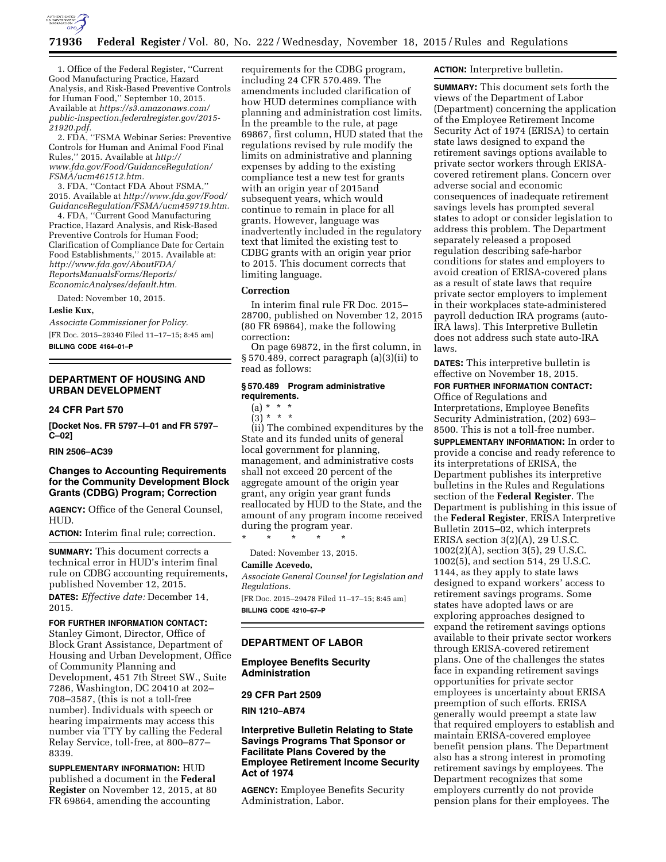

1. Office of the Federal Register, ''Current Good Manufacturing Practice, Hazard Analysis, and Risk-Based Preventive Controls for Human Food,'' September 10, 2015. Available at *[https://s3.amazonaws.com/](https://s3.amazonaws.com/public-inspection.federalregister.gov/2015-21920.pdf) [public-inspection.federalregister.gov/2015-](https://s3.amazonaws.com/public-inspection.federalregister.gov/2015-21920.pdf)  [21920.pdf.](https://s3.amazonaws.com/public-inspection.federalregister.gov/2015-21920.pdf)* 

2. FDA, ''FSMA Webinar Series: Preventive Controls for Human and Animal Food Final Rules,'' 2015. Available at *[http://](http://www.fda.gov/Food/GuidanceRegulation/FSMA/ucm461512.htm) [www.fda.gov/Food/GuidanceRegulation/](http://www.fda.gov/Food/GuidanceRegulation/FSMA/ucm461512.htm) [FSMA/ucm461512.htm.](http://www.fda.gov/Food/GuidanceRegulation/FSMA/ucm461512.htm)* 

3. FDA, ''Contact FDA About FSMA,'' 2015. Available at *[http://www.fda.gov/Food/](http://www.fda.gov/Food/GuidanceRegulation/FSMA/ucm459719.htm) [GuidanceRegulation/FSMA/ucm459719.htm.](http://www.fda.gov/Food/GuidanceRegulation/FSMA/ucm459719.htm)* 

4. FDA, ''Current Good Manufacturing Practice, Hazard Analysis, and Risk-Based Preventive Controls for Human Food; Clarification of Compliance Date for Certain Food Establishments,'' 2015. Available at: *[http://www.fda.gov/AboutFDA/](http://www.fda.gov/AboutFDA/ReportsManualsForms/Reports/EconomicAnalyses/default.htm) [ReportsManualsForms/Reports/](http://www.fda.gov/AboutFDA/ReportsManualsForms/Reports/EconomicAnalyses/default.htm) [EconomicAnalyses/default.htm.](http://www.fda.gov/AboutFDA/ReportsManualsForms/Reports/EconomicAnalyses/default.htm)* 

Dated: November 10, 2015.

### **Leslie Kux,**

*Associate Commissioner for Policy.*  [FR Doc. 2015–29340 Filed 11–17–15; 8:45 am] **BILLING CODE 4164–01–P** 

### **DEPARTMENT OF HOUSING AND URBAN DEVELOPMENT**

### **24 CFR Part 570**

**[Docket Nos. FR 5797–I–01 and FR 5797– C–02]** 

#### **RIN 2506–AC39**

### **Changes to Accounting Requirements for the Community Development Block Grants (CDBG) Program; Correction**

**AGENCY:** Office of the General Counsel, HUD.

**ACTION:** Interim final rule; correction.

**SUMMARY:** This document corrects a technical error in HUD's interim final rule on CDBG accounting requirements, published November 12, 2015. **DATES:** *Effective date:* December 14, 2015.

#### **FOR FURTHER INFORMATION CONTACT:**

Stanley Gimont, Director, Office of Block Grant Assistance, Department of Housing and Urban Development, Office of Community Planning and Development, 451 7th Street SW., Suite 7286, Washington, DC 20410 at 202– 708–3587, (this is not a toll-free number). Individuals with speech or hearing impairments may access this number via TTY by calling the Federal Relay Service, toll-free, at 800–877– 8339.

**SUPPLEMENTARY INFORMATION:** HUD published a document in the **Federal Register** on November 12, 2015, at 80 FR 69864, amending the accounting

requirements for the CDBG program, including 24 CFR 570.489. The amendments included clarification of how HUD determines compliance with planning and administration cost limits. In the preamble to the rule, at page 69867, first column, HUD stated that the regulations revised by rule modify the limits on administrative and planning expenses by adding to the existing compliance test a new test for grants with an origin year of 2015and subsequent years, which would continue to remain in place for all grants. However, language was inadvertently included in the regulatory text that limited the existing test to CDBG grants with an origin year prior to 2015. This document corrects that limiting language.

### **Correction**

In interim final rule FR Doc. 2015– 28700, published on November 12, 2015 (80 FR 69864), make the following correction:

On page 69872, in the first column, in § 570.489, correct paragraph (a)(3)(ii) to read as follows:

### **§ 570.489 Program administrative requirements.**

(a) \* \* \*  $(3)^{*}$  \* \*

(ii) The combined expenditures by the State and its funded units of general local government for planning, management, and administrative costs shall not exceed 20 percent of the aggregate amount of the origin year grant, any origin year grant funds reallocated by HUD to the State, and the amount of any program income received during the program year.

\* \* \* \* \*

Dated: November 13, 2015.

### **Camille Acevedo,**

*Associate General Counsel for Legislation and Regulations.* 

[FR Doc. 2015–29478 Filed 11–17–15; 8:45 am] **BILLING CODE 4210–67–P** 

#### **DEPARTMENT OF LABOR**

### **Employee Benefits Security Administration**

### **29 CFR Part 2509**

**RIN 1210–AB74** 

**Interpretive Bulletin Relating to State Savings Programs That Sponsor or Facilitate Plans Covered by the Employee Retirement Income Security Act of 1974** 

**AGENCY:** Employee Benefits Security Administration, Labor.

### **ACTION:** Interpretive bulletin.

**SUMMARY:** This document sets forth the views of the Department of Labor (Department) concerning the application of the Employee Retirement Income Security Act of 1974 (ERISA) to certain state laws designed to expand the retirement savings options available to private sector workers through ERISAcovered retirement plans. Concern over adverse social and economic consequences of inadequate retirement savings levels has prompted several states to adopt or consider legislation to address this problem. The Department separately released a proposed regulation describing safe-harbor conditions for states and employers to avoid creation of ERISA-covered plans as a result of state laws that require private sector employers to implement in their workplaces state-administered payroll deduction IRA programs (auto-IRA laws). This Interpretive Bulletin does not address such state auto-IRA laws.

**DATES:** This interpretive bulletin is effective on November 18, 2015.

# **FOR FURTHER INFORMATION CONTACT:**

Office of Regulations and Interpretations, Employee Benefits Security Administration, (202) 693– 8500. This is not a toll-free number.

**SUPPLEMENTARY INFORMATION:** In order to provide a concise and ready reference to its interpretations of ERISA, the Department publishes its interpretive bulletins in the Rules and Regulations section of the **Federal Register**. The Department is publishing in this issue of the **Federal Register**, ERISA Interpretive Bulletin 2015–02, which interprets ERISA section 3(2)(A), 29 U.S.C. 1002(2)(A), section 3(5), 29 U.S.C. 1002(5), and section 514, 29 U.S.C. 1144, as they apply to state laws designed to expand workers' access to retirement savings programs. Some states have adopted laws or are exploring approaches designed to expand the retirement savings options available to their private sector workers through ERISA-covered retirement plans. One of the challenges the states face in expanding retirement savings opportunities for private sector employees is uncertainty about ERISA preemption of such efforts. ERISA generally would preempt a state law that required employers to establish and maintain ERISA-covered employee benefit pension plans. The Department also has a strong interest in promoting retirement savings by employees. The Department recognizes that some employers currently do not provide pension plans for their employees. The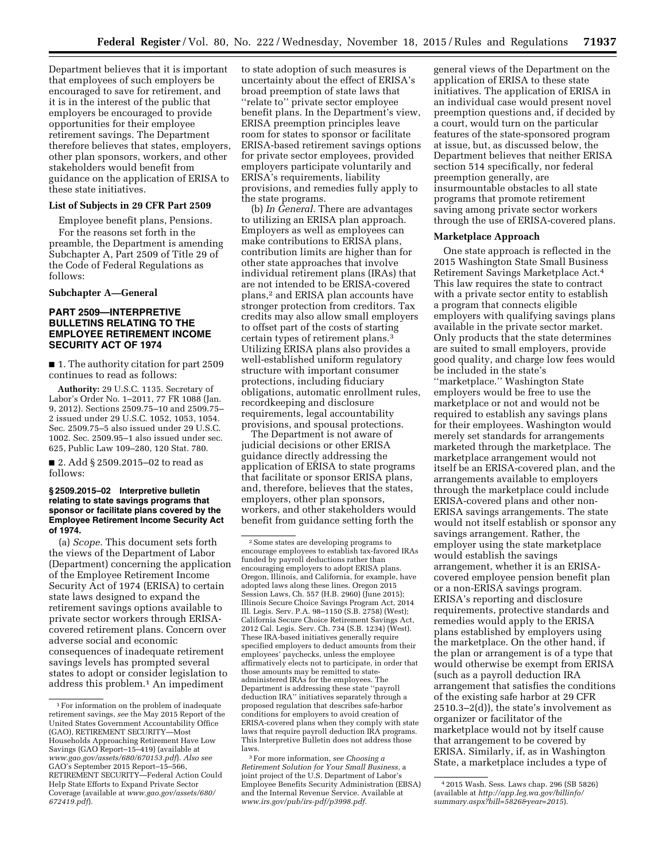Department believes that it is important that employees of such employers be encouraged to save for retirement, and it is in the interest of the public that employers be encouraged to provide opportunities for their employee retirement savings. The Department therefore believes that states, employers, other plan sponsors, workers, and other stakeholders would benefit from guidance on the application of ERISA to these state initiatives.

### **List of Subjects in 29 CFR Part 2509**

Employee benefit plans, Pensions.

For the reasons set forth in the preamble, the Department is amending Subchapter A, Part 2509 of Title 29 of the Code of Federal Regulations as follows:

**Subchapter A—General** 

### **PART 2509—INTERPRETIVE BULLETINS RELATING TO THE EMPLOYEE RETIREMENT INCOME SECURITY ACT OF 1974**

■ 1. The authority citation for part 2509 continues to read as follows:

**Authority:** 29 U.S.C. 1135. Secretary of Labor's Order No. 1–2011, 77 FR 1088 (Jan. 9, 2012). Sections 2509.75–10 and 2509.75– 2 issued under 29 U.S.C. 1052, 1053, 1054. Sec. 2509.75–5 also issued under 29 U.S.C. 1002. Sec. 2509.95–1 also issued under sec. 625, Public Law 109–280, 120 Stat. 780.

■ 2. Add § 2509.2015–02 to read as follows:

### **§ 2509.2015–02 Interpretive bulletin relating to state savings programs that sponsor or facilitate plans covered by the Employee Retirement Income Security Act of 1974.**

(a) *Scope.* This document sets forth the views of the Department of Labor (Department) concerning the application of the Employee Retirement Income Security Act of 1974 (ERISA) to certain state laws designed to expand the retirement savings options available to private sector workers through ERISAcovered retirement plans. Concern over adverse social and economic consequences of inadequate retirement savings levels has prompted several states to adopt or consider legislation to address this problem.1 An impediment

to state adoption of such measures is uncertainty about the effect of ERISA's broad preemption of state laws that ''relate to'' private sector employee benefit plans. In the Department's view, ERISA preemption principles leave room for states to sponsor or facilitate ERISA-based retirement savings options for private sector employees, provided employers participate voluntarily and ERISA's requirements, liability provisions, and remedies fully apply to the state programs.

(b) *In General.* There are advantages to utilizing an ERISA plan approach. Employers as well as employees can make contributions to ERISA plans, contribution limits are higher than for other state approaches that involve individual retirement plans (IRAs) that are not intended to be ERISA-covered plans,2 and ERISA plan accounts have stronger protection from creditors. Tax credits may also allow small employers to offset part of the costs of starting certain types of retirement plans.3 Utilizing ERISA plans also provides a well-established uniform regulatory structure with important consumer protections, including fiduciary obligations, automatic enrollment rules, recordkeeping and disclosure requirements, legal accountability provisions, and spousal protections.

The Department is not aware of judicial decisions or other ERISA guidance directly addressing the application of ERISA to state programs that facilitate or sponsor ERISA plans, and, therefore, believes that the states, employers, other plan sponsors, workers, and other stakeholders would benefit from guidance setting forth the

general views of the Department on the application of ERISA to these state initiatives. The application of ERISA in an individual case would present novel preemption questions and, if decided by a court, would turn on the particular features of the state-sponsored program at issue, but, as discussed below, the Department believes that neither ERISA section 514 specifically, nor federal preemption generally, are insurmountable obstacles to all state programs that promote retirement saving among private sector workers through the use of ERISA-covered plans.

#### **Marketplace Approach**

One state approach is reflected in the 2015 Washington State Small Business Retirement Savings Marketplace Act.4 This law requires the state to contract with a private sector entity to establish a program that connects eligible employers with qualifying savings plans available in the private sector market. Only products that the state determines are suited to small employers, provide good quality, and charge low fees would be included in the state's ''marketplace.'' Washington State employers would be free to use the marketplace or not and would not be required to establish any savings plans for their employees. Washington would merely set standards for arrangements marketed through the marketplace. The marketplace arrangement would not itself be an ERISA-covered plan, and the arrangements available to employers through the marketplace could include ERISA-covered plans and other non-ERISA savings arrangements. The state would not itself establish or sponsor any savings arrangement. Rather, the employer using the state marketplace would establish the savings arrangement, whether it is an ERISAcovered employee pension benefit plan or a non-ERISA savings program. ERISA's reporting and disclosure requirements, protective standards and remedies would apply to the ERISA plans established by employers using the marketplace. On the other hand, if the plan or arrangement is of a type that would otherwise be exempt from ERISA (such as a payroll deduction IRA arrangement that satisfies the conditions of the existing safe harbor at 29 CFR  $2510.3-2(d)$ , the state's involvement as organizer or facilitator of the marketplace would not by itself cause that arrangement to be covered by ERISA. Similarly, if, as in Washington State, a marketplace includes a type of

<sup>1</sup>For information on the problem of inadequate retirement savings, *see* the May 2015 Report of the United States Government Accountability Office (GAO), RETIREMENT SECURITY—Most Households Approaching Retirement Have Low Savings (GAO Report–15–419) (available at *<www.gao.gov/assets/680/670153.pdf>*). *Also see*  GAO's September 2015 Report–15–566, RETIREMENT SECURITY—Federal Action Could Help State Efforts to Expand Private Sector Coverage (available at *[www.gao.gov/assets/680/](http://www.gao.gov/assets/680/672419.pdf) [672419.pdf](http://www.gao.gov/assets/680/672419.pdf)*).

<sup>2</sup>Some states are developing programs to encourage employees to establish tax-favored IRAs funded by payroll deductions rather than encouraging employers to adopt ERISA plans. Oregon, Illinois, and California, for example, have adopted laws along these lines. Oregon 2015 Session Laws, Ch. 557 (H.B. 2960) (June 2015); Illinois Secure Choice Savings Program Act, 2014 Ill. Legis. Serv. P.A. 98–1150 (S.B. 2758) (West); California Secure Choice Retirement Savings Act, 2012 Cal. Legis. Serv. Ch. 734 (S.B. 1234) (West). These IRA-based initiatives generally require specified employers to deduct amounts from their employees' paychecks, unless the employee affirmatively elects not to participate, in order that those amounts may be remitted to stateadministered IRAs for the employees. The Department is addressing these state ''payroll deduction IRA'' initiatives separately through a proposed regulation that describes safe-harbor conditions for employers to avoid creation of ERISA-covered plans when they comply with state laws that require payroll deduction IRA programs. This Interpretive Bulletin does not address those laws.

<sup>3</sup>For more information, *see Choosing a Retirement Solution for Your Small Business,* a joint project of the U.S. Department of Labor's Employee Benefits Security Administration (EBSA) and the Internal Revenue Service. Available at *[www.irs.gov/pub/irs-pdf/p3998.pdf.](http://www.irs.gov/pub/irs-pdf/p3998.pdf)* 

<sup>4</sup> 2015 Wash. Sess. Laws chap. 296 (SB 5826) (available at *[http://app.leg.wa.gov/billinfo/](http://app.leg.wa.gov/billinfo/summary.aspx?bill=5826&year=2015) [summary.aspx?bill=5826&year=2015](http://app.leg.wa.gov/billinfo/summary.aspx?bill=5826&year=2015)*).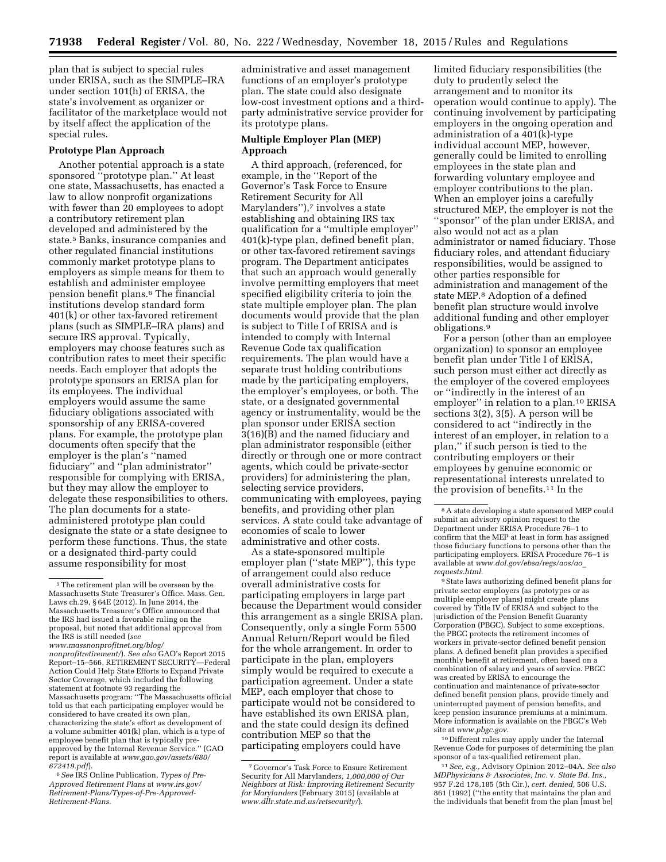plan that is subject to special rules under ERISA, such as the SIMPLE–IRA under section 101(h) of ERISA, the state's involvement as organizer or facilitator of the marketplace would not by itself affect the application of the special rules.

# **Prototype Plan Approach**

Another potential approach is a state sponsored ''prototype plan.'' At least one state, Massachusetts, has enacted a law to allow nonprofit organizations with fewer than 20 employees to adopt a contributory retirement plan developed and administered by the state.5 Banks, insurance companies and other regulated financial institutions commonly market prototype plans to employers as simple means for them to establish and administer employee pension benefit plans.6 The financial institutions develop standard form 401(k) or other tax-favored retirement plans (such as SIMPLE–IRA plans) and secure IRS approval. Typically, employers may choose features such as contribution rates to meet their specific needs. Each employer that adopts the prototype sponsors an ERISA plan for its employees. The individual employers would assume the same fiduciary obligations associated with sponsorship of any ERISA-covered plans. For example, the prototype plan documents often specify that the employer is the plan's ''named fiduciary'' and ''plan administrator'' responsible for complying with ERISA, but they may allow the employer to delegate these responsibilities to others. The plan documents for a stateadministered prototype plan could designate the state or a state designee to perform these functions. Thus, the state or a designated third-party could assume responsibility for most

administrative and asset management functions of an employer's prototype plan. The state could also designate low-cost investment options and a thirdparty administrative service provider for its prototype plans.

### **Multiple Employer Plan (MEP) Approach**

A third approach, (referenced, for example, in the ''Report of the Governor's Task Force to Ensure Retirement Security for All Marylanders"),7 involves a state establishing and obtaining IRS tax qualification for a ''multiple employer'' 401(k)-type plan, defined benefit plan, or other tax-favored retirement savings program. The Department anticipates that such an approach would generally involve permitting employers that meet specified eligibility criteria to join the state multiple employer plan. The plan documents would provide that the plan is subject to Title I of ERISA and is intended to comply with Internal Revenue Code tax qualification requirements. The plan would have a separate trust holding contributions made by the participating employers, the employer's employees, or both. The state, or a designated governmental agency or instrumentality, would be the plan sponsor under ERISA section 3(16)(B) and the named fiduciary and plan administrator responsible (either directly or through one or more contract agents, which could be private-sector providers) for administering the plan, selecting service providers, communicating with employees, paying benefits, and providing other plan services. A state could take advantage of economies of scale to lower administrative and other costs.

As a state-sponsored multiple employer plan (''state MEP''), this type of arrangement could also reduce overall administrative costs for participating employers in large part because the Department would consider this arrangement as a single ERISA plan. Consequently, only a single Form 5500 Annual Return/Report would be filed for the whole arrangement. In order to participate in the plan, employers simply would be required to execute a participation agreement. Under a state MEP, each employer that chose to participate would not be considered to have established its own ERISA plan, and the state could design its defined contribution MEP so that the participating employers could have

limited fiduciary responsibilities (the duty to prudently select the arrangement and to monitor its operation would continue to apply). The continuing involvement by participating employers in the ongoing operation and administration of a 401(k)-type individual account MEP, however, generally could be limited to enrolling employees in the state plan and forwarding voluntary employee and employer contributions to the plan. When an employer joins a carefully structured MEP, the employer is not the ''sponsor'' of the plan under ERISA, and also would not act as a plan administrator or named fiduciary. Those fiduciary roles, and attendant fiduciary responsibilities, would be assigned to other parties responsible for administration and management of the state MEP.8 Adoption of a defined benefit plan structure would involve additional funding and other employer obligations.9

For a person (other than an employee organization) to sponsor an employee benefit plan under Title I of ERISA, such person must either act directly as the employer of the covered employees or ''indirectly in the interest of an employer'' in relation to a plan.10 ERISA sections 3(2), 3(5). A person will be considered to act ''indirectly in the interest of an employer, in relation to a plan,'' if such person is tied to the contributing employers or their employees by genuine economic or representational interests unrelated to the provision of benefits.11 In the

9State laws authorizing defined benefit plans for private sector employers (as prototypes or as multiple employer plans) might create plans covered by Title IV of ERISA and subject to the jurisdiction of the Pension Benefit Guaranty Corporation (PBGC). Subject to some exceptions, the PBGC protects the retirement incomes of workers in private-sector defined benefit pension plans. A defined benefit plan provides a specified monthly benefit at retirement, often based on a combination of salary and years of service. PBGC was created by ERISA to encourage the continuation and maintenance of private-sector defined benefit pension plans, provide timely and uninterrupted payment of pension benefits, and keep pension insurance premiums at a minimum. More information is available on the PBGC's Web site at *[www.pbgc.gov.](http://www.pbgc.gov)* 

10 Different rules may apply under the Internal Revenue Code for purposes of determining the plan sponsor of a tax-qualified retirement plan.

11*See, e.g.,* Advisory Opinion 2012–04A. *See also MDPhysicians & Associates, Inc.* v. *State Bd. Ins.,*  957 F.2d 178,185 (5th Cir.), *cert. denied,* 506 U.S. 861 (1992) (''the entity that maintains the plan and the individuals that benefit from the plan [must be]

<sup>5</sup>The retirement plan will be overseen by the Massachusetts State Treasurer's Office. Mass. Gen. Laws ch.29, § 64E (2012). In June 2014, the Massachusetts Treasurer's Office announced that the IRS had issued a favorable ruling on the proposal, but noted that additional approval from the IRS is still needed (*see* 

*[www.massnonprofitnet.org/blog/](www.massnonprofitnet.org/blog/nonprofitretirement/) [nonprofitretirement/](www.massnonprofitnet.org/blog/nonprofitretirement/)*). *See also* GAO's Report 2015 Report–15–566, RETIREMENT SECURITY—Federal Action Could Help State Efforts to Expand Private Sector Coverage, which included the following statement at footnote 93 regarding the Massachusetts program: ''The Massachusetts official told us that each participating employer would be considered to have created its own plan, characterizing the state's effort as development of a volume submitter 401(k) plan, which is a type of employee benefit plan that is typically pre-approved by the Internal Revenue Service.'' (GAO report is available at *[www.gao.gov/assets/680/](http://www.gao.gov/assets/680/672419.pdf) [672419.pdf](http://www.gao.gov/assets/680/672419.pdf)*).

<sup>6</sup>*See* IRS Online Publication, *Types of Pre-Approved Retirement Plans* at *[www.irs.gov/](http://www.irs.gov/Retirement-Plans/Types-of-Pre-Approved-Retirement-Plans) [Retirement-Plans/Types-of-Pre-Approved-](http://www.irs.gov/Retirement-Plans/Types-of-Pre-Approved-Retirement-Plans)[Retirement-Plans.](http://www.irs.gov/Retirement-Plans/Types-of-Pre-Approved-Retirement-Plans)* 

<sup>7</sup> Governor's Task Force to Ensure Retirement Security for All Marylanders, *1,000,000 of Our Neighbors at Risk: Improving Retirement Security for Marylanders* (February 2015) (available at *[www.dllr.state.md.us/retsecurity/](http://www.dllr.state.md.us/retsecurity/)*).

<sup>8</sup>A state developing a state sponsored MEP could submit an advisory opinion request to the Department under ERISA Procedure 76–1 to confirm that the MEP at least in form has assigned those fiduciary functions to persons other than the participating employers. ERISA Procedure 76–1 is available at *[www.dol.gov/ebsa/regs/aos/ao](http://www.dol.gov/ebsa/regs/aos/ao_requests.html)*\_ *[requests.html.](http://www.dol.gov/ebsa/regs/aos/ao_requests.html)*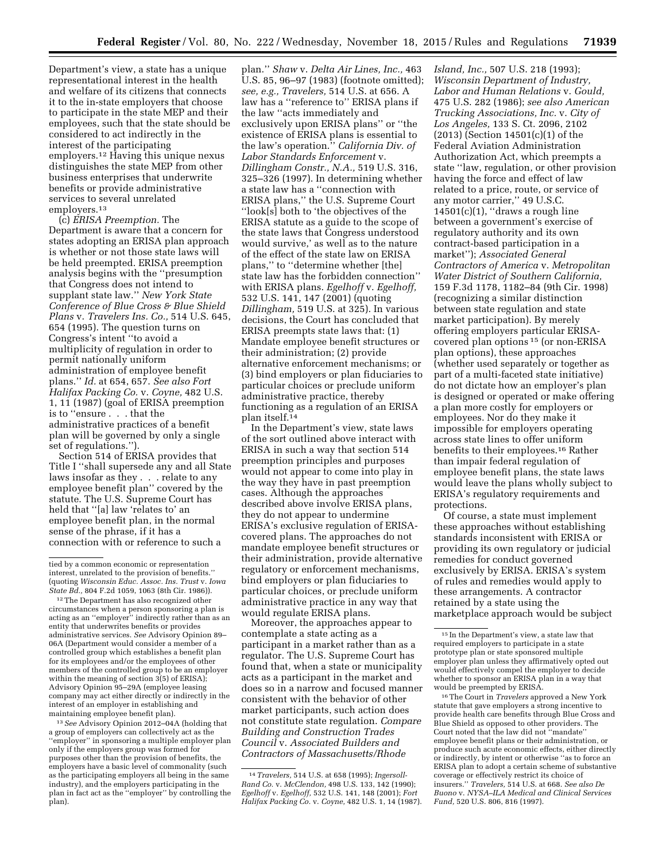Department's view, a state has a unique representational interest in the health and welfare of its citizens that connects it to the in-state employers that choose to participate in the state MEP and their employees, such that the state should be considered to act indirectly in the interest of the participating employers.12 Having this unique nexus distinguishes the state MEP from other business enterprises that underwrite benefits or provide administrative services to several unrelated employers.13

(c) *ERISA Preemption.* The Department is aware that a concern for states adopting an ERISA plan approach is whether or not those state laws will be held preempted. ERISA preemption analysis begins with the ''presumption that Congress does not intend to supplant state law.'' *New York State Conference of Blue Cross & Blue Shield Plans* v. *Travelers Ins. Co.,* 514 U.S. 645, 654 (1995). The question turns on Congress's intent ''to avoid a multiplicity of regulation in order to permit nationally uniform administration of employee benefit plans.'' *Id.* at 654, 657. *See also Fort Halifax Packing Co.* v. *Coyne,* 482 U.S. 1, 11 (1987) (goal of ERISA preemption is to ''ensure . . . that the administrative practices of a benefit plan will be governed by only a single set of regulations.'').

Section 514 of ERISA provides that Title I ''shall supersede any and all State laws insofar as they . . . relate to any employee benefit plan'' covered by the statute. The U.S. Supreme Court has held that ''[a] law 'relates to' an employee benefit plan, in the normal sense of the phrase, if it has a connection with or reference to such a

<sup>12</sup>The Department has also recognized other circumstances when a person sponsoring a plan is acting as an ''employer'' indirectly rather than as an entity that underwrites benefits or provides administrative services. *See* Advisory Opinion 89– 06A (Department would consider a member of a controlled group which establishes a benefit plan for its employees and/or the employees of other members of the controlled group to be an employer within the meaning of section 3(5) of ERISA); Advisory Opinion 95–29A (employee leasing company may act either directly or indirectly in the interest of an employer in establishing and maintaining employee benefit plan).

13*See* Advisory Opinion 2012–04A (holding that a group of employers can collectively act as the ''employer'' in sponsoring a multiple employer plan only if the employers group was formed for purposes other than the provision of benefits, the employers have a basic level of commonality (such as the participating employers all being in the same industry), and the employers participating in the plan in fact act as the ''employer'' by controlling the plan).

plan.'' *Shaw* v. *Delta Air Lines, Inc.,* 463 U.S. 85, 96–97 (1983) (footnote omitted); *see, e.g., Travelers,* 514 U.S. at 656. A law has a ''reference to'' ERISA plans if the law ''acts immediately and exclusively upon ERISA plans'' or ''the existence of ERISA plans is essential to the law's operation.'' *California Div. of Labor Standards Enforcement* v. *Dillingham Constr., N.A.,* 519 U.S. 316, 325–326 (1997). In determining whether a state law has a ''connection with ERISA plans,'' the U.S. Supreme Court ''look[s] both to 'the objectives of the ERISA statute as a guide to the scope of the state laws that Congress understood would survive,' as well as to the nature of the effect of the state law on ERISA plans,'' to ''determine whether [the] state law has the forbidden connection'' with ERISA plans. *Egelhoff* v. *Egelhoff,*  532 U.S. 141, 147 (2001) (quoting *Dillingham,* 519 U.S. at 325). In various decisions, the Court has concluded that ERISA preempts state laws that: (1) Mandate employee benefit structures or their administration; (2) provide alternative enforcement mechanisms; or (3) bind employers or plan fiduciaries to particular choices or preclude uniform administrative practice, thereby functioning as a regulation of an ERISA plan itself.14

In the Department's view, state laws of the sort outlined above interact with ERISA in such a way that section 514 preemption principles and purposes would not appear to come into play in the way they have in past preemption cases. Although the approaches described above involve ERISA plans, they do not appear to undermine ERISA's exclusive regulation of ERISAcovered plans. The approaches do not mandate employee benefit structures or their administration, provide alternative regulatory or enforcement mechanisms, bind employers or plan fiduciaries to particular choices, or preclude uniform administrative practice in any way that would regulate ERISA plans.

Moreover, the approaches appear to contemplate a state acting as a participant in a market rather than as a regulator. The U.S. Supreme Court has found that, when a state or municipality acts as a participant in the market and does so in a narrow and focused manner consistent with the behavior of other market participants, such action does not constitute state regulation. *Compare Building and Construction Trades Council* v. *Associated Builders and Contractors of Massachusetts/Rhode* 

*Island, Inc.,* 507 U.S. 218 (1993); *Wisconsin Department of Industry, Labor and Human Relations* v. *Gould,*  475 U.S. 282 (1986); *see also American Trucking Associations, Inc.* v. *City of Los Angeles,* 133 S. Ct. 2096, 2102 (2013) (Section 14501(c)(1) of the Federal Aviation Administration Authorization Act, which preempts a state ''law, regulation, or other provision having the force and effect of law related to a price, route, or service of any motor carrier,'' 49 U.S.C.  $14501(c)(1)$ , "draws a rough line between a government's exercise of regulatory authority and its own contract-based participation in a market''); *Associated General Contractors of America* v. *Metropolitan Water District of Southern California,*  159 F.3d 1178, 1182–84 (9th Cir. 1998) (recognizing a similar distinction between state regulation and state market participation). By merely offering employers particular ERISAcovered plan options 15 (or non-ERISA plan options), these approaches (whether used separately or together as part of a multi-faceted state initiative) do not dictate how an employer's plan is designed or operated or make offering a plan more costly for employers or employees. Nor do they make it impossible for employers operating across state lines to offer uniform benefits to their employees.16 Rather than impair federal regulation of employee benefit plans, the state laws would leave the plans wholly subject to ERISA's regulatory requirements and protections.

Of course, a state must implement these approaches without establishing standards inconsistent with ERISA or providing its own regulatory or judicial remedies for conduct governed exclusively by ERISA. ERISA's system of rules and remedies would apply to these arrangements. A contractor retained by a state using the marketplace approach would be subject

16The Court in *Travelers* approved a New York statute that gave employers a strong incentive to provide health care benefits through Blue Cross and Blue Shield as opposed to other providers. The Court noted that the law did not ''mandate'' employee benefit plans or their administration, or produce such acute economic effects, either directly or indirectly, by intent or otherwise ''as to force an ERISA plan to adopt a certain scheme of substantive coverage or effectively restrict its choice of insurers.'' *Travelers,* 514 U.S. at 668. *See also De Buono* v. *NYSA–ILA Medical and Clinical Services Fund,* 520 U.S. 806, 816 (1997).

tied by a common economic or representation interest, unrelated to the provision of benefits.'' (quoting *Wisconsin Educ. Assoc. Ins. Trust* v. *Iowa State Bd.,* 804 F.2d 1059, 1063 (8th Cir. 1986)).

<sup>14</sup>*Travelers,* 514 U.S. at 658 (1995); *Ingersoll-Rand Co.* v. *McClendon,* 498 U.S. 133, 142 (1990); *Egelhoff* v. *Egelhoff,* 532 U.S. 141, 148 (2001); *Fort Halifax Packing Co.* v. *Coyne,* 482 U.S. 1, 14 (1987).

<sup>15</sup> In the Department's view, a state law that required employers to participate in a state prototype plan or state sponsored multiple employer plan unless they affirmatively opted out would effectively compel the employer to decide whether to sponsor an ERISA plan in a way that would be preempted by ERISA.